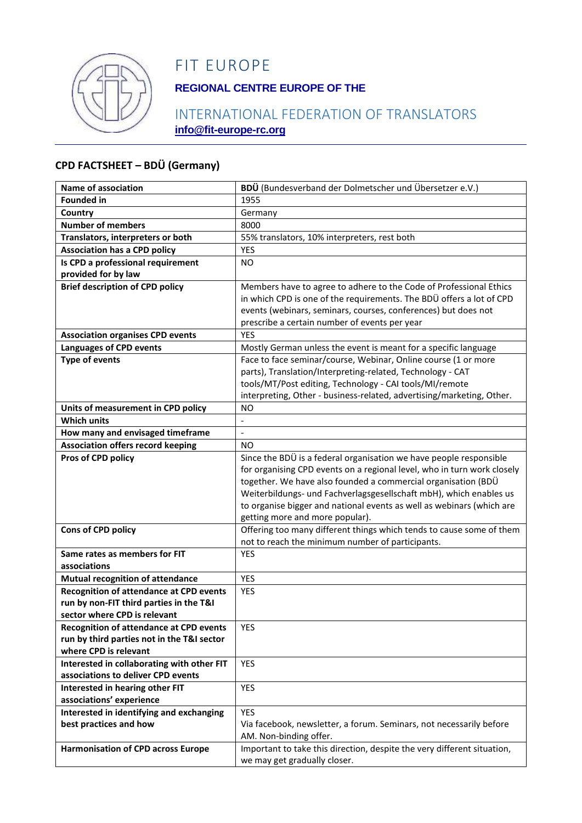

# FIT EUROPE

### **REGIONAL CENTRE EUROPE OF THE**

### INTERNATIONAL FEDERATION OF TRANSLATORS **info@fit-europe-rc.org**

#### **CPD FACTSHEET – BDÜ (Germany)**

| <b>Name of association</b>                     | BDÜ (Bundesverband der Dolmetscher und Übersetzer e.V.)                 |
|------------------------------------------------|-------------------------------------------------------------------------|
| <b>Founded in</b>                              | 1955                                                                    |
| Country                                        | Germany                                                                 |
| <b>Number of members</b>                       | 8000                                                                    |
| Translators, interpreters or both              | 55% translators, 10% interpreters, rest both                            |
| <b>Association has a CPD policy</b>            | YES                                                                     |
| Is CPD a professional requirement              | N <sub>O</sub>                                                          |
| provided for by law                            |                                                                         |
| <b>Brief description of CPD policy</b>         | Members have to agree to adhere to the Code of Professional Ethics      |
|                                                | in which CPD is one of the requirements. The BDÜ offers a lot of CPD    |
|                                                | events (webinars, seminars, courses, conferences) but does not          |
|                                                | prescribe a certain number of events per year                           |
| <b>Association organises CPD events</b>        | YES                                                                     |
| <b>Languages of CPD events</b>                 | Mostly German unless the event is meant for a specific language         |
| <b>Type of events</b>                          | Face to face seminar/course, Webinar, Online course (1 or more          |
|                                                | parts), Translation/Interpreting-related, Technology - CAT              |
|                                                | tools/MT/Post editing, Technology - CAI tools/MI/remote                 |
|                                                | interpreting, Other - business-related, advertising/marketing, Other.   |
| Units of measurement in CPD policy             | NO                                                                      |
| <b>Which units</b>                             |                                                                         |
| How many and envisaged timeframe               | $\frac{1}{2}$                                                           |
| <b>Association offers record keeping</b>       | <b>NO</b>                                                               |
| Pros of CPD policy                             | Since the BDÜ is a federal organisation we have people responsible      |
|                                                | for organising CPD events on a regional level, who in turn work closely |
|                                                | together. We have also founded a commercial organisation (BDÜ           |
|                                                | Weiterbildungs- und Fachverlagsgesellschaft mbH), which enables us      |
|                                                | to organise bigger and national events as well as webinars (which are   |
|                                                | getting more and more popular).                                         |
| <b>Cons of CPD policy</b>                      | Offering too many different things which tends to cause some of them    |
|                                                | not to reach the minimum number of participants.                        |
| Same rates as members for FIT                  | <b>YES</b>                                                              |
| associations                                   |                                                                         |
| <b>Mutual recognition of attendance</b>        | <b>YES</b>                                                              |
| <b>Recognition of attendance at CPD events</b> | <b>YES</b>                                                              |
| run by non-FIT third parties in the T&I        |                                                                         |
| sector where CPD is relevant                   |                                                                         |
| <b>Recognition of attendance at CPD events</b> | <b>YES</b>                                                              |
| run by third parties not in the T&I sector     |                                                                         |
| where CPD is relevant                          |                                                                         |
| Interested in collaborating with other FIT     | <b>YES</b>                                                              |
| associations to deliver CPD events             |                                                                         |
| Interested in hearing other FIT                | <b>YES</b>                                                              |
| associations' experience                       |                                                                         |
| Interested in identifying and exchanging       | <b>YES</b>                                                              |
| best practices and how                         | Via facebook, newsletter, a forum. Seminars, not necessarily before     |
|                                                | AM. Non-binding offer.                                                  |
| <b>Harmonisation of CPD across Europe</b>      | Important to take this direction, despite the very different situation, |
|                                                | we may get gradually closer.                                            |